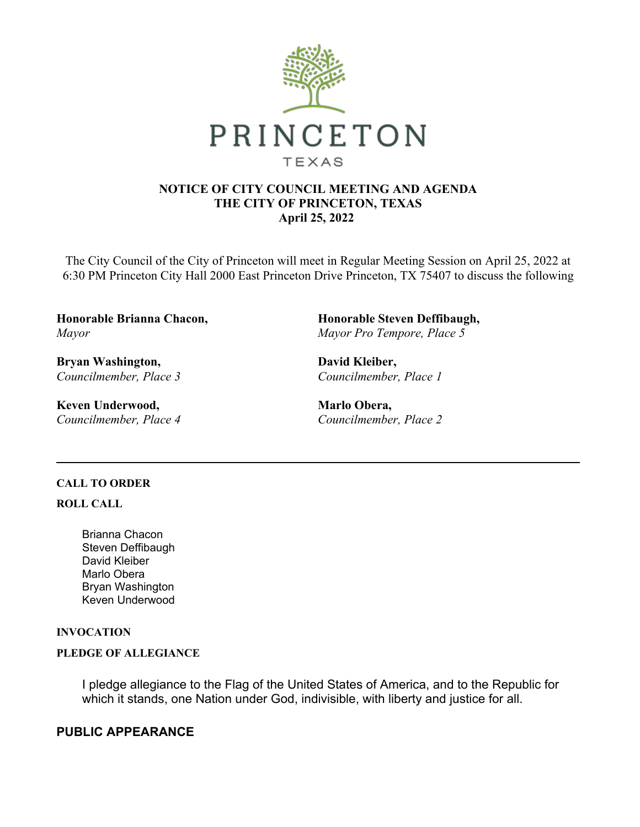

## **NOTICE OF CITY COUNCIL MEETING AND AGENDA THE CITY OF PRINCETON, TEXAS April 25, 2022**

The City Council of the City of Princeton will meet in Regular Meeting Session on April 25, 2022 at 6:30 PM Princeton City Hall 2000 East Princeton Drive Princeton, TX 75407 to discuss the following

**Honorable Brianna Chacon,**  *Mayor*

**Bryan Washington,**  *Councilmember, Place 3*

**Keven Underwood,**  *Councilmember, Place 4* **Honorable Steven Deffibaugh,**  *Mayor Pro Tempore, Place 5*

**David Kleiber,**  *Councilmember, Place 1*

**Marlo Obera,**  *Councilmember, Place 2*

## **CALL TO ORDER**

**ROLL CALL**

Brianna Chacon Steven Deffibaugh David Kleiber Marlo Obera Bryan Washington Keven Underwood

## **INVOCATION**

#### **PLEDGE OF ALLEGIANCE**

I pledge allegiance to the Flag of the United States of America, and to the Republic for which it stands, one Nation under God, indivisible, with liberty and justice for all.

## **PUBLIC APPEARANCE**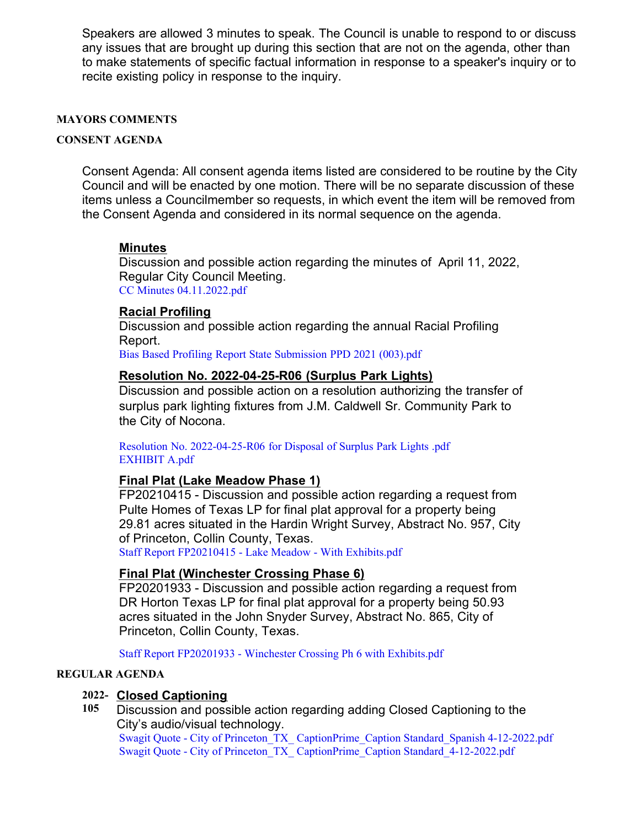Speakers are allowed 3 minutes to speak. The Council is unable to respond to or discuss any issues that are brought up during this section that are not on the agenda, other than to make statements of specific factual information in response to a speaker's inquiry or to recite existing policy in response to the inquiry.

#### **MAYORS COMMENTS**

#### **CONSENT AGENDA**

Consent Agenda: All consent agenda items listed are considered to be routine by the City Council and will be enacted by one motion. There will be no separate discussion of these items unless a Councilmember so requests, in which event the item will be removed from the Consent Agenda and considered in its normal sequence on the agenda.

## **Minutes**

Discussion and possible action regarding the minutes of April 11, 2022, Regular City Council Meeting. [CC Minutes 04.11.2022.pdf](https://legistarweb-production.s3.amazonaws.com/uploads/attachment/pdf/1344235/CC_Minutes_04.11.2022.pdf)

## **Racial Profiling**

Discussion and possible action regarding the annual Racial Profiling Report.

[Bias Based Profiling Report State Submission PPD 2021 \(003\).pdf](https://legistarweb-production.s3.amazonaws.com/uploads/attachment/pdf/1339255/Bias_Based_Profiling_Report_State_Submission_PPD_2021__003_.pdf)

#### **Resolution No. 2022-04-25-R06 (Surplus Park Lights)**

Discussion and possible action on a resolution authorizing the transfer of surplus park lighting fixtures from J.M. Caldwell Sr. Community Park to the City of Nocona.

[Resolution No. 2022-04-25-R06 for Disposal of Surplus Park Lights .pdf](https://legistarweb-production.s3.amazonaws.com/uploads/attachment/pdf/1341548/Resolution_No._2022-04-25-R06_for_Disposal_of_Surplus_Park_Lights_.pdf) [EXHIBIT A.pdf](https://legistarweb-production.s3.amazonaws.com/uploads/attachment/pdf/1341549/EXHIBIT_A.pdf)

## **Final Plat (Lake Meadow Phase 1)**

FP20210415 - Discussion and possible action regarding a request from Pulte Homes of Texas LP for final plat approval for a property being 29.81 acres situated in the Hardin Wright Survey, Abstract No. 957, City of Princeton, Collin County, Texas.

[Staff Report FP20210415 - Lake Meadow - With Exhibits.pdf](https://legistarweb-production.s3.amazonaws.com/uploads/attachment/pdf/1342840/Staff_Report_FP20210415_-_Lake_Meadow_-_With_Exhibits.pdf)

## **Final Plat (Winchester Crossing Phase 6)**

FP20201933 - Discussion and possible action regarding a request from DR Horton Texas LP for final plat approval for a property being 50.93 acres situated in the John Snyder Survey, Abstract No. 865, City of Princeton, Collin County, Texas.

[Staff Report FP20201933 - Winchester Crossing Ph 6 with Exhibits.pdf](https://legistarweb-production.s3.amazonaws.com/uploads/attachment/pdf/1342860/Staff_Report_FP20201933_-_Winchester_Crossing_Ph_6_with_Exhibits.pdf)

#### **REGULAR AGENDA**

## **2022- Closed Captioning**

**105** Discussion and possible action regarding adding Closed Captioning to the City's audio/visual technology.

[Swagit Quote - City of Princeton\\_TX\\_ CaptionPrime\\_Caption Standard\\_Spanish 4-12-2022.pdf](https://legistarweb-production.s3.amazonaws.com/uploads/attachment/pdf/1339234/Swagit_Quote_-__City_of_Princeton_TX__CaptionPrime_Caption_Standard_Spanish_4-12-2022.pdf) [Swagit Quote - City of Princeton\\_TX\\_ CaptionPrime\\_Caption Standard\\_4-12-2022.pdf](https://legistarweb-production.s3.amazonaws.com/uploads/attachment/pdf/1339236/Swagit_Quote_-__City_of_Princeton_TX__CaptionPrime_Caption_Standard_4-12-2022.pdf)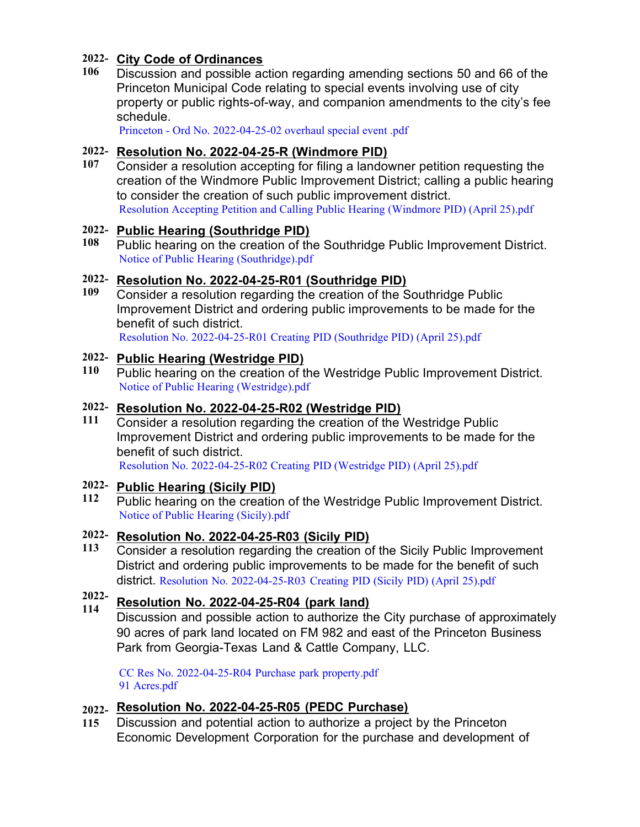# **2022- City Code of Ordinances**

**106** Discussion and possible action regarding amending sections 50 and 66 of the Princeton Municipal Code relating to special events involving use of city property or public rights-of-way, and companion amendments to the city's fee schedule.

[Princeton - Ord No. 2022-04-25-02 overhaul special event .pdf](https://legistarweb-production.s3.amazonaws.com/uploads/attachment/pdf/1340133/Princeton_-_Ord_No._2022-04-25-02_overhaul_special_event_.pdf)

## **2022- Resolution No. 2022-04-25-R (Windmore PID)**

**107** Consider a resolution accepting for filing a landowner petition requesting the creation of the Windmore Public Improvement District; calling a public hearing to consider the creation of such public improvement district. [Resolution Accepting Petition and Calling Public Hearing \(Windmore PID\) \(April 25\).pdf](https://legistarweb-production.s3.amazonaws.com/uploads/attachment/pdf/1339331/Resolution_Accepting_Petition_and_Calling_Public_Hearing__Windmore_PID___April_25_.pdf)

## **2022- Public Hearing (Southridge PID)**

**108** Public hearing on the creation of the Southridge Public Improvement District. [Notice of Public Hearing \(Southridge\).pdf](https://legistarweb-production.s3.amazonaws.com/uploads/attachment/pdf/1339417/Notice_of_Public_Hearing__Southridge_.pdf)

# **2022- Resolution No. 2022-04-25-R01 (Southridge PID)**

**109** Consider a resolution regarding the creation of the Southridge Public Improvement District and ordering public improvements to be made for the benefit of such district.

[Resolution No. 2022-04-25-R01 Creating PID \(Southridge PID\) \(April 25\).pdf](https://legistarweb-production.s3.amazonaws.com/uploads/attachment/pdf/1339367/Resolution_No._2022-04-25-R01_Creating_PID__Southridge_PID___April_25_.pdf)

# **2022- Public Hearing (Westridge PID)**

**110** Public hearing on the creation of the Westridge Public Improvement District. [Notice of Public Hearing \(Westridge\).pdf](https://legistarweb-production.s3.amazonaws.com/uploads/attachment/pdf/1339506/Notice_of_Public_Hearing__Westridge_.pdf)

## **2022- Resolution No. 2022-04-25-R02 (Westridge PID)**

**111** Consider a resolution regarding the creation of the Westridge Public Improvement District and ordering public improvements to be made for the benefit of such district. [Resolution No. 2022-04-25-R02 Creating PID \(Westridge PID\) \(April 25\).pdf](https://legistarweb-production.s3.amazonaws.com/uploads/attachment/pdf/1339375/Resolution_No._2022-04-25-R02_Creating_PID__Westridge_PID___April_25_.pdf)

# **2022- Public Hearing (Sicily PID)**

**112** Public hearing on the creation of the Westridge Public Improvement District. [Notice of Public Hearing \(Sicily\).pdf](https://legistarweb-production.s3.amazonaws.com/uploads/attachment/pdf/1339526/Notice_of_Public_Hearing__Sicily_.pdf)

# **2022- Resolution No. 2022-04-25-R03 (Sicily PID)**

**113** Consider a resolution regarding the creation of the Sicily Public Improvement District and ordering public improvements to be made for the benefit of such district. [Resolution No. 2022-04-25-R03 Creating PID \(Sicily PID\) \(April 25\).pdf](https://legistarweb-production.s3.amazonaws.com/uploads/attachment/pdf/1339380/Resolution_No._2022-04-25-R03_Creating_PID__Sicily_PID___April_25_.pdf)

#### **2022- 114 Resolution No. 2022-04-25-R04 (park land)**

Discussion and possible action to authorize the City purchase of approximately 90 acres of park land located on FM 982 and east of the Princeton Business Park from Georgia-Texas Land & Cattle Company, LLC.

[CC Res No. 2022-04-25-R04 Purchase park property.pdf](https://legistarweb-production.s3.amazonaws.com/uploads/attachment/pdf/1341571/CC_Res_No._2022-04-25-R04__Purchase_park_property.pdf) [91 Acres.pdf](https://legistarweb-production.s3.amazonaws.com/uploads/attachment/pdf/1344966/91_Acres.pdf)

# **2022- Resolution No. 2022-04-25-R05 (PEDC Purchase)**

**115** Discussion and potential action to authorize a project by the Princeton Economic Development Corporation for the purchase and development of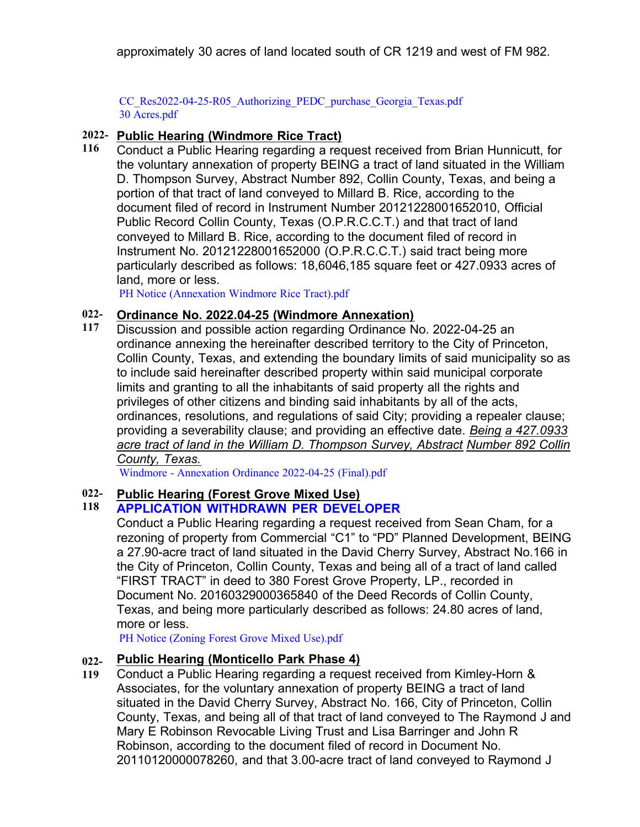approximately 30 acres of land located south of CR 1219 and west of FM 982.

[CC\\_Res2022-04-25-R05\\_Authorizing\\_PEDC\\_purchase\\_Georgia\\_Texas.pdf](https://legistarweb-production.s3.amazonaws.com/uploads/attachment/pdf/1344074/CC_Res2022-04-25-R05_Authorizing_PEDC_purchase_Georgia_Texas.pdf) [30 Acres.pdf](https://legistarweb-production.s3.amazonaws.com/uploads/attachment/pdf/1344965/30_Acres.pdf)

# **2022- Public Hearing (Windmore Rice Tract)**

**116** Conduct a Public Hearing regarding a request received from Brian Hunnicutt, for the voluntary annexation of property BEING a tract of land situated in the William D. Thompson Survey, Abstract Number 892, Collin County, Texas, and being a portion of that tract of land conveyed to Millard B. Rice, according to the document filed of record in Instrument Number 20121228001652010, Official Public Record Collin County, Texas (O.P.R.C.C.T.) and that tract of land conveyed to Millard B. Rice, according to the document filed of record in Instrument No. 20121228001652000 (O.P.R.C.C.T.) said tract being more particularly described as follows: 18,6046,185 square feet or 427.0933 acres of land, more or less.

[PH Notice \(Annexation Windmore Rice Tract\).pdf](https://legistarweb-production.s3.amazonaws.com/uploads/attachment/pdf/1340419/PH_Notice__Annexation_Windmore_Rice_Tract_.pdf)

#### **022- Ordinance No. 2022.04-25 (Windmore Annexation)**

**117** Discussion and possible action regarding Ordinance No. 2022-04-25 an ordinance annexing the hereinafter described territory to the City of Princeton, Collin County, Texas, and extending the boundary limits of said municipality so as to include said hereinafter described property within said municipal corporate limits and granting to all the inhabitants of said property all the rights and privileges of other citizens and binding said inhabitants by all of the acts, ordinances, resolutions, and regulations of said City; providing a repealer clause; providing a severability clause; and providing an effective date. *Being a 427.0933 acre tract of land in the William D. Thompson Survey, Abstract Number 892 Collin County, Texas.*

[Windmore - Annexation Ordinance 2022-04-25 \(Final\).pdf](https://legistarweb-production.s3.amazonaws.com/uploads/attachment/pdf/1342651/Windmore_-_Annexation_Ordinance_2022-04-25__Final_.pdf)

#### **022- Public Hearing (Forest Grove Mixed Use)**

#### **118 APPLICATION WITHDRAWN PER DEVELOPER**

Conduct a Public Hearing regarding a request received from Sean Cham, for a rezoning of property from Commercial "C1" to "PD" Planned Development, BEING a 27.90-acre tract of land situated in the David Cherry Survey, Abstract No.166 in the City of Princeton, Collin County, Texas and being all of a tract of land called "FIRST TRACT" in deed to 380 Forest Grove Property, LP., recorded in Document No. 20160329000365840 of the Deed Records of Collin County, Texas, and being more particularly described as follows: 24.80 acres of land, more or less.

[PH Notice \(Zoning Forest Grove Mixed Use\).pdf](https://legistarweb-production.s3.amazonaws.com/uploads/attachment/pdf/1340425/PH_Notice__Zoning_Forest_Grove_Mixed_Use_.pdf)

#### **022- Public Hearing (Monticello Park Phase 4)**

**119** Conduct a Public Hearing regarding a request received from Kimley-Horn & Associates, for the voluntary annexation of property BEING a tract of land situated in the David Cherry Survey, Abstract No. 166, City of Princeton, Collin County, Texas, and being all of that tract of land conveyed to The Raymond J and Mary E Robinson Revocable Living Trust and Lisa Barringer and John R Robinson, according to the document filed of record in Document No. 20110120000078260, and that 3.00-acre tract of land conveyed to Raymond J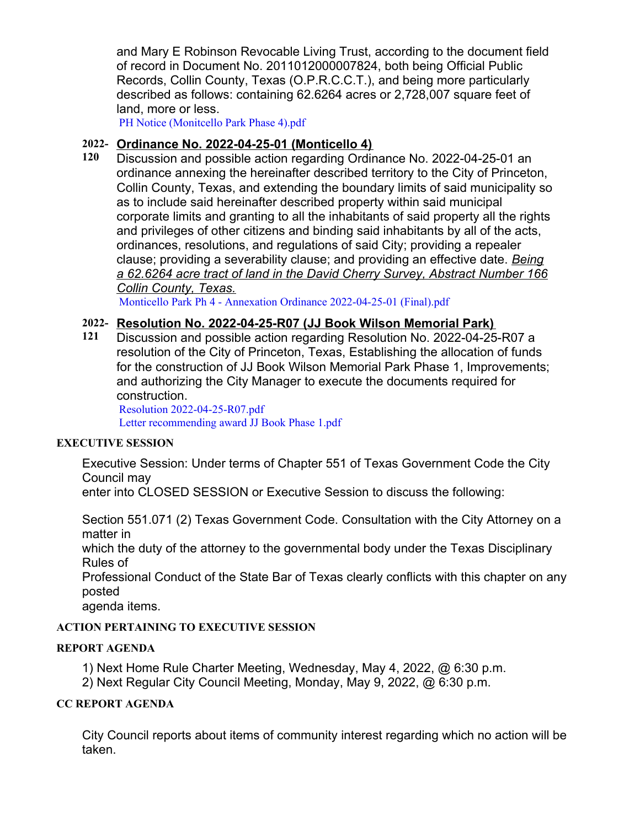and Mary E Robinson Revocable Living Trust, according to the document field of record in Document No. 2011012000007824, both being Official Public Records, Collin County, Texas (O.P.R.C.C.T.), and being more particularly described as follows: containing 62.6264 acres or 2,728,007 square feet of land, more or less.

[PH Notice \(Monitcello Park Phase 4\).pdf](https://legistarweb-production.s3.amazonaws.com/uploads/attachment/pdf/1340467/PH_Notice__Monitcello_Park_Phase_4_.pdf)

# **2022- Ordinance No. 2022-04-25-01 (Monticello 4)**

**120** Discussion and possible action regarding Ordinance No. 2022-04-25-01 an ordinance annexing the hereinafter described territory to the City of Princeton, Collin County, Texas, and extending the boundary limits of said municipality so as to include said hereinafter described property within said municipal corporate limits and granting to all the inhabitants of said property all the rights and privileges of other citizens and binding said inhabitants by all of the acts, ordinances, resolutions, and regulations of said City; providing a repealer clause; providing a severability clause; and providing an effective date. *Being a 62.6264 acre tract of land in the David Cherry Survey, Abstract Number 166 Collin County, Texas.*

[Monticello Park Ph 4 - Annexation Ordinance 2022-04-25-01 \(Final\).pdf](https://legistarweb-production.s3.amazonaws.com/uploads/attachment/pdf/1342660/Monticello_Park_Ph_4_-_Annexation_Ordinance_2022-04-25-01__Final_.pdf)

## **2022- Resolution No. 2022-04-25-R07 (JJ Book Wilson Memorial Park)**

**121** Discussion and possible action regarding Resolution No. 2022-04-25-R07 a resolution of the City of Princeton, Texas, Establishing the allocation of funds for the construction of JJ Book Wilson Memorial Park Phase 1, Improvements; and authorizing the City Manager to execute the documents required for construction.

[Resolution 2022-04-25-R07.pdf](https://legistarweb-production.s3.amazonaws.com/uploads/attachment/pdf/1344006/Resolution_2022-04-25-R07.pdf) [Letter recommending award JJ Book Phase 1.pdf](https://legistarweb-production.s3.amazonaws.com/uploads/attachment/pdf/1344007/Letter_recommending_award_JJ_Book_Phase_1.pdf)

## **EXECUTIVE SESSION**

Executive Session: Under terms of Chapter 551 of Texas Government Code the City Council may

enter into CLOSED SESSION or Executive Session to discuss the following:

Section 551.071 (2) Texas Government Code. Consultation with the City Attorney on a matter in

which the duty of the attorney to the governmental body under the Texas Disciplinary Rules of

Professional Conduct of the State Bar of Texas clearly conflicts with this chapter on any posted

agenda items.

## **ACTION PERTAINING TO EXECUTIVE SESSION**

## **REPORT AGENDA**

1) Next Home Rule Charter Meeting, Wednesday, May 4, 2022, @ 6:30 p.m.

2) Next Regular City Council Meeting, Monday, May 9, 2022, @ 6:30 p.m.

## **CC REPORT AGENDA**

City Council reports about items of community interest regarding which no action will be taken.